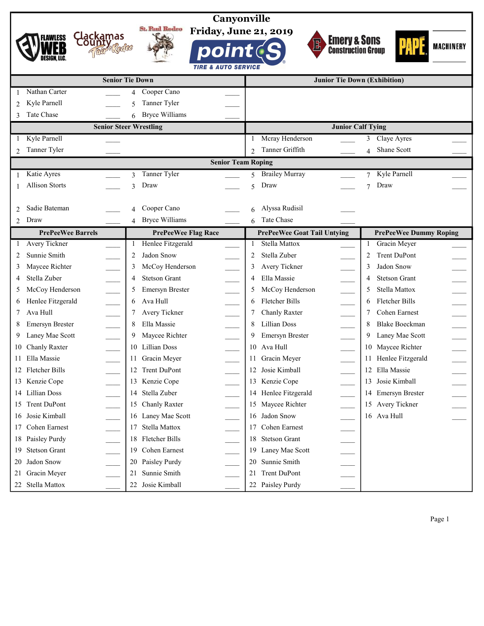|                                                  | Canyonville                                           |                                                   |                               |
|--------------------------------------------------|-------------------------------------------------------|---------------------------------------------------|-------------------------------|
|                                                  | <b>St. Paul Rodeo</b><br><b>Friday, June 21, 2019</b> |                                                   |                               |
| Clackamas<br><b>FLAWLESS</b><br>County,          |                                                       | <b>Emery &amp; Sons<br/>Construction Group</b>    |                               |
| Take & Codleo                                    | point                                                 |                                                   | <b>MACHINERY</b>              |
|                                                  | <b>TIRE &amp; AUTO SERVICE</b>                        |                                                   |                               |
|                                                  | <b>Senior Tie Down</b>                                | <b>Junior Tie Down (Exhibition)</b>               |                               |
| Nathan Carter                                    | Cooper Cano<br>4                                      |                                                   |                               |
| Kyle Parnell<br>2                                | Tanner Tyler<br>5                                     |                                                   |                               |
| Tate Chase                                       | <b>Bryce Williams</b><br>6                            |                                                   |                               |
|                                                  | <b>Senior Steer Wrestling</b>                         | <b>Junior Calf Tying</b>                          |                               |
| Kyle Parnell                                     |                                                       | Mcray Henderson                                   | Claye Ayres<br>3              |
| Tanner Tyler<br>$\mathfrak{D}$                   |                                                       | Tanner Griffith<br>$\mathfrak{D}$                 | Shane Scott<br>$\overline{4}$ |
|                                                  | <b>Senior Team Roping</b>                             |                                                   |                               |
| Katie Ayres                                      | Tanner Tyler<br>3                                     | <b>Brailey Murray</b><br>$\overline{\phantom{0}}$ | Kyle Parnell<br>$\tau$        |
| <b>Allison Storts</b>                            | Draw<br>3                                             | Draw<br>$\overline{\phantom{0}}$                  | Draw<br>$\overline{7}$        |
|                                                  |                                                       |                                                   |                               |
| Sadie Bateman<br>$\mathfrak{D}$                  | Cooper Cano<br>4                                      | Alyssa Rudisil<br>6                               |                               |
| Draw<br>$\overline{c}$                           | <b>Bryce Williams</b><br>4                            | Tate Chase<br>6                                   |                               |
| <b>PrePeeWee Barrels</b>                         | <b>PrePeeWee Flag Race</b>                            | <b>PrePeeWee Goat Tail Untying</b>                | <b>PrePeeWee Dummy Roping</b> |
| Avery Tickner<br>1                               | Henlee Fitzgerald<br>$\mathbf{1}$                     | Stella Mattox<br>1                                | Gracin Meyer<br>$\mathbf{1}$  |
| Sunnie Smith<br>2                                | Jadon Snow<br>2                                       | Stella Zuber<br>2                                 | Trent DuPont<br>2             |
| Maycee Richter<br>3                              | McCoy Henderson<br>3                                  | Avery Tickner                                     | Jadon Snow<br>3               |
| $\frac{1}{1}$<br>Stella Zuber<br>4               | <b>Stetson Grant</b><br>4<br>$\overline{\phantom{a}}$ | Ella Massie<br>4                                  | <b>Stetson Grant</b><br>4     |
| McCoy Henderson<br>5                             | Emersyn Brester<br>5                                  | McCoy Henderson                                   | Stella Mattox<br>5            |
| Henlee Fitzgerald<br>6                           | Ava Hull<br>6<br>e.<br>T                              | $\overline{\phantom{a}}$<br>Fletcher Bills<br>6   | Fletcher Bills<br>6           |
| $\frac{1}{\sqrt{2\pi}}$<br>Ava Hull<br>7         | Avery Tickner<br>$\overline{\phantom{a}}$<br>7        | $\overline{\phantom{0}}$<br>Chanly Raxter         | Cohen Earnest<br>7            |
| Emersyn Brester<br>8                             | $\frac{1}{\sqrt{1-\frac{1}{2}}}$<br>Ella Massie<br>8  | <b>Lillian Doss</b>                               | <b>Blake Boeckman</b><br>8    |
| $\overline{\phantom{a}}$<br>Laney Mae Scott<br>9 | Maycee Richter<br>9                                   | Emersyn Brester                                   | Laney Mae Scott<br>9          |
| Chanly Raxter<br>10                              | 10 Lillian Doss                                       | 10 Ava Hull                                       | 10 Maycee Richter             |
| 11 Ella Massie                                   | 11 Gracin Meyer<br>$\overline{\phantom{a}}$           | 11 Gracin Meyer<br>$\overbrace{\hspace{27mm}}$    | 11 Henlee Fitzgerald          |
| 12 Fletcher Bills                                | 12 Trent DuPont                                       | 12 Josie Kimball                                  | 12 Ella Massie                |
| 13 Kenzie Cope                                   | 13 Kenzie Cope                                        | 13 Kenzie Cope                                    | Josie Kimball<br>13           |
| Lillian Doss<br>14                               | Stella Zuber<br>14                                    | Henlee Fitzgerald<br>14                           | 14 Emersyn Brester            |
| Trent DuPont<br>15                               | Chanly Raxter<br>15                                   | Maycee Richter<br>15                              | 15 Avery Tickner              |
| Josie Kimball<br>16                              | 16 Laney Mae Scott                                    | Jadon Snow<br>16                                  | 16 Ava Hull                   |
| Cohen Earnest<br>17                              | Stella Mattox<br>17                                   | Cohen Earnest<br>17                               |                               |
| Paisley Purdy<br>18                              | 18 Fletcher Bills                                     | <b>Stetson Grant</b><br>18                        |                               |
| <b>Stetson Grant</b><br>19                       | Cohen Earnest<br>19                                   | Laney Mae Scott<br>19                             |                               |
| Jadon Snow<br>20                                 | 20 Paisley Purdy                                      | Sunnie Smith<br>20                                |                               |
| Gracin Meyer<br>21                               | Sunnie Smith<br>21                                    | <b>Trent DuPont</b><br>21                         |                               |
| Stella Mattox<br>22                              | Josie Kimball<br>22                                   | Paisley Purdy<br>22                               |                               |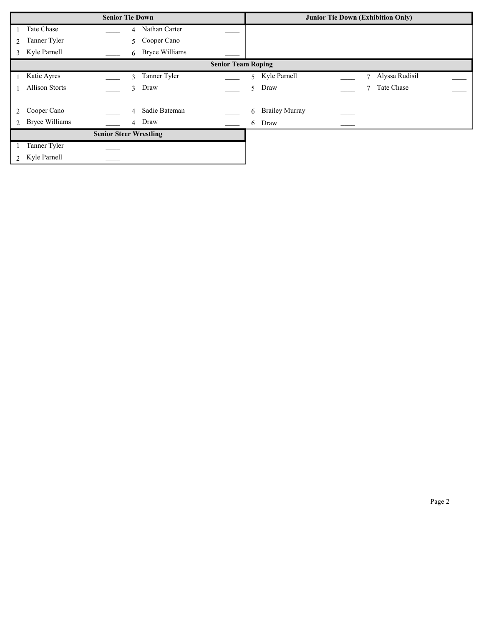| <b>Senior Tie Down</b> |                           |  |                                 |  | <b>Junior Tie Down (Exhibition Only)</b> |                          |  |  |
|------------------------|---------------------------|--|---------------------------------|--|------------------------------------------|--------------------------|--|--|
|                        | Tate Chase                |  | Nathan Carter<br>$\overline{4}$ |  |                                          |                          |  |  |
| 2                      | Tanner Tyler              |  | Cooper Cano<br>5                |  |                                          |                          |  |  |
| $\mathcal{E}$          | Kyle Parnell              |  | 6 Bryce Williams                |  |                                          |                          |  |  |
|                        | <b>Senior Team Roping</b> |  |                                 |  |                                          |                          |  |  |
|                        | Katie Ayres               |  | Tanner Tyler<br>3               |  | 5 Kyle Parnell                           | Alyssa Rudisil<br>$\tau$ |  |  |
|                        | <b>Allison Storts</b>     |  | Draw<br>$\overline{3}$          |  | Draw<br>5                                | Tate Chase<br>7          |  |  |
|                        |                           |  |                                 |  |                                          |                          |  |  |
| 2                      | Cooper Cano               |  | Sadie Bateman<br>$\overline{4}$ |  | <b>Brailey Murray</b><br>6               |                          |  |  |
| $\mathcal{D}$          | <b>Bryce Williams</b>     |  | 4 Draw                          |  | Draw<br>6                                |                          |  |  |
|                        |                           |  | <b>Senior Steer Wrestling</b>   |  |                                          |                          |  |  |
|                        | Tanner Tyler              |  |                                 |  |                                          |                          |  |  |
| $\overline{2}$         | Kyle Parnell              |  |                                 |  |                                          |                          |  |  |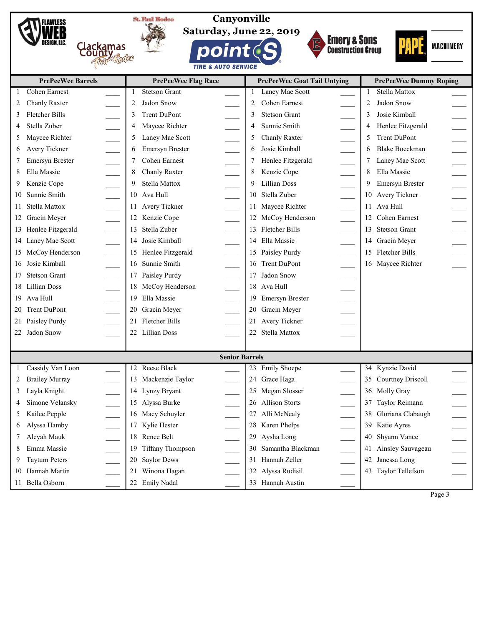



Canyonville Saturday, June 22, 2019

**DO** 

**TIRE & AUTO SERVICE** 







|              | <b>PrePeeWee Barrels</b>                           | <b>PrePeeWee Flag Race</b>                   | <b>PrePeeWee Goat Tail Untying</b> | <b>PrePeeWee Dummy Roping</b>                         |
|--------------|----------------------------------------------------|----------------------------------------------|------------------------------------|-------------------------------------------------------|
| 1            | Cohen Earnest                                      | <b>Stetson Grant</b>                         | Laney Mae Scott                    | <b>Stella Mattox</b>                                  |
| 2            | Chanly Raxter                                      | Jadon Snow<br>2                              | Cohen Earnest<br>2                 | Jadon Snow<br>2                                       |
| 3            | Fletcher Bills                                     | <b>Trent DuPont</b>                          | 3<br><b>Stetson Grant</b>          | Josie Kimball<br>3                                    |
| 4            | Stella Zuber                                       | Maycee Richter                               | Sunnie Smith<br>4                  | Henlee Fitzgerald                                     |
| 5            | $\frac{1}{\sqrt{1-\frac{1}{2}}}$<br>Maycee Richter | Laney Mae Scott                              | Chanly Raxter<br>5                 | Trent DuPont<br>5<br>$\frac{1}{\sqrt{1-\frac{1}{2}}}$ |
| 6            | Avery Tickner                                      | Emersyn Brester                              | Josie Kimball<br>6                 | <b>Blake Boeckman</b><br>6                            |
| 7            | Emersyn Brester                                    | Cohen Earnest                                | Henlee Fitzgerald                  | Laney Mae Scott<br>7                                  |
| 8            | Ella Massie                                        | Chanly Raxter                                | Kenzie Cope                        | Ella Massie<br>$\frac{1}{1}$                          |
| 9            | Kenzie Cope                                        | Stella Mattox<br>$\mathbb{R}^2$              | <b>Lillian Doss</b><br>9           | Emersyn Brester<br>9<br>$\frac{1}{1}$                 |
| 10           | Sunnie Smith                                       | 10 Ava Hull<br>$\frac{1}{2}$                 | Stella Zuber<br>10                 | 10 Avery Tickner                                      |
| 11           | $\overline{\phantom{a}}$<br>Stella Mattox          | 11 Avery Tickner<br>$\mathcal{L}$            | Maycee Richter<br>11               | 11 Ava Hull                                           |
| 12           | $\overline{\phantom{a}}$<br>Gracin Meyer           | 12 Kenzie Cope<br>e<br>S                     | McCoy Henderson<br>12              | 12 Cohen Earnest                                      |
| 13           | Henlee Fitzgerald                                  | Stella Zuber<br>13                           | Fletcher Bills<br>13               | 13 Stetson Grant                                      |
| 14           | Laney Mae Scott                                    | 14 Josie Kimball                             | Ella Massie<br>14                  | 14 Gracin Meyer                                       |
| 15           | McCoy Henderson                                    | 15 Henlee Fitzgerald<br>$\mathbb{R}$         | Paisley Purdy<br>15                | 15 Fletcher Bills                                     |
| 16           | Josie Kimball                                      | 16 Sunnie Smith<br>$\mathbb{R}^2$            | Trent DuPont<br>16                 | 16 Maycee Richter                                     |
| 17           | <b>Stetson Grant</b>                               | 17 Paisley Purdy<br>$\overline{\phantom{a}}$ | Jadon Snow<br>17                   |                                                       |
| 18           | Lillian Doss                                       | 18 McCoy Henderson<br>an<br>Barat            | Ava Hull<br>18                     |                                                       |
| 19           | Ava Hull                                           | 19 Ella Massie                               | Emersyn Brester<br>19              |                                                       |
| 20           | <b>Trent DuPont</b>                                | 20 Gracin Meyer                              | 20<br>Gracin Meyer                 |                                                       |
| 21           | $\overline{\phantom{a}}$<br>Paisley Purdy          | 21 Fletcher Bills                            | Avery Tickner<br>21                |                                                       |
|              | 22 Jadon Snow                                      | 22 Lillian Doss                              | Stella Mattox                      |                                                       |
|              |                                                    |                                              |                                    |                                                       |
|              |                                                    | <b>Senior Barrels</b>                        |                                    |                                                       |
| $\mathbf{1}$ | Cassidy Van Loon                                   | 12 Reese Black                               | <b>Emily Shoepe</b><br>23          | 34 Kynzie David                                       |
| 2            | <b>Brailey Murray</b>                              | 13 Mackenzie Taylor                          | Grace Haga<br>24                   | 35 Courtney Driscoll                                  |
| 3            | Layla Knight                                       | 14 Lynzy Bryant                              | Megan Slosser<br>25                | 36 Molly Gray                                         |
| 4            | Simone Velansky                                    | 15 Alyssa Burke                              | <b>Allison Storts</b><br>26        | 37 Taylor Reimann                                     |
| 5            | Kailee Pepple                                      | 16 Macy Schuyler                             | 27 Alli McNealy                    | 38 Gloriana Clabaugh                                  |
| 6            | Alyssa Hamby                                       | 17 Kylie Hester                              | 28 Karen Phelps                    | 39 Katie Ayres                                        |
| 7            | Aleyah Mauk                                        | 18 Renee Belt                                | 29 Aysha Long                      | 40 Shyann Vance                                       |
| 8            | Emma Massie                                        | 19 Tiffany Thompson                          | Samantha Blackman<br>30            | 41 Ainsley Sauvageau                                  |
| 9            | <b>Taytum Peters</b>                               | 20 Saylor Dews                               | Hannah Zeller<br>31                | 42 Janessa Long                                       |
| 10           | Hannah Martin                                      | 21 Winona Hagan                              | Alyssa Rudisil<br>32               | 43 Taylor Tellefson                                   |
| 11           | Bella Osborn                                       | 22 Emily Nadal                               | 33 Hannah Austin                   |                                                       |

Page 3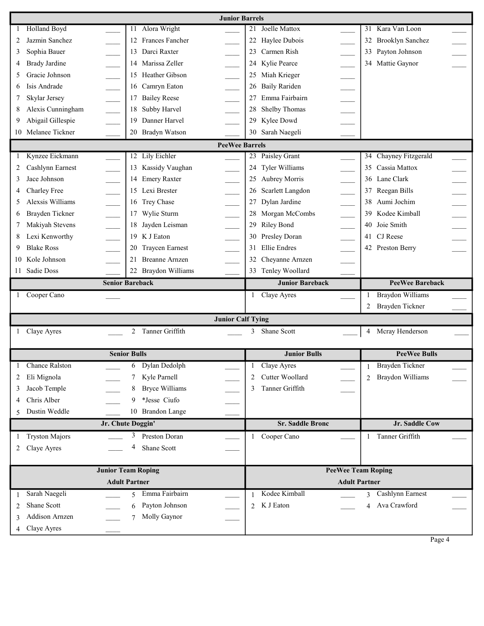|              | <b>Junior Barrels</b> |                            |                                              |                                               |  |  |  |  |  |
|--------------|-----------------------|----------------------------|----------------------------------------------|-----------------------------------------------|--|--|--|--|--|
| $\mathbf{1}$ | Holland Boyd          | 11 Alora Wright            | Joelle Mattox<br>21                          | 31 Kara Van Loon                              |  |  |  |  |  |
| 2            | Jazmin Sanchez        | 12 Frances Fancher         | Haylee Dubois<br>22                          | <b>Brooklyn Sanchez</b><br>32                 |  |  |  |  |  |
| 3            | Sophia Bauer          | Darci Raxter<br>13         | Carmen Rish<br>23                            | Payton Johnson<br>33                          |  |  |  |  |  |
| 4            | <b>Brady Jardine</b>  | 14 Marissa Zeller          | Kylie Pearce<br>24                           | 34 Mattie Gaynor                              |  |  |  |  |  |
| 5            | Gracie Johnson        | 15 Heather Gibson          | Miah Krieger<br>25<br>en la                  |                                               |  |  |  |  |  |
| 6            | Isis Andrade          | 16 Camryn Eaton            | <b>Baily Rariden</b><br>26                   |                                               |  |  |  |  |  |
| 7            | Skylar Jersey         | <b>Bailey Reese</b><br>17  | Emma Fairbairn<br>÷,                         | $\frac{1}{1-\frac{1}{2}}$                     |  |  |  |  |  |
| 8            | Alexis Cunningham     | 18<br>Subby Harvel         | 28<br>Shelby Thomas                          |                                               |  |  |  |  |  |
| 9            | Abigail Gillespie     | Danner Harvel<br>19        | Kylee Dowd<br>29                             |                                               |  |  |  |  |  |
|              | 10 Melanee Tickner    | 20 Bradyn Watson           | Sarah Naegeli<br>30                          |                                               |  |  |  |  |  |
|              | <b>PeeWee Barrels</b> |                            |                                              |                                               |  |  |  |  |  |
| 1            | Kynzee Eickmann       | 12 Lily Eichler            | Paisley Grant<br>23                          | 34 Chayney Fitzgerald                         |  |  |  |  |  |
| 2            | Cashlynn Earnest      | 13 Kassidy Vaughan         | Tyler Williams<br>24                         | Cassia Mattox<br>35                           |  |  |  |  |  |
| 3            | Jace Johnson          | 14 Emery Raxter            | Aubrey Morris<br>25                          | 36 Lane Clark                                 |  |  |  |  |  |
| 4            | Charley Free          | 15 Lexi Brester            | Scarlett Langdon<br>26                       | Reegan Bills<br>37                            |  |  |  |  |  |
| 5            | Alexsis Williams      | 16 Trey Chase              | $\overline{a}$<br>Dylan Jardine<br>27        | $\overline{\phantom{a}}$<br>Aumi Jochim<br>38 |  |  |  |  |  |
| 6            | Brayden Tickner       | Wylie Sturm<br>17          | $\overline{\phantom{a}}$<br>Morgan McCombs   | 39<br>Kodee Kimball                           |  |  |  |  |  |
| 7            | Makiyah Stevens       | 18 Jayden Leisman          | Riley Bond<br>29                             | Joie Smith<br>40                              |  |  |  |  |  |
| 8            | Lexi Kenworthy        | 19 K J Eaton               | Presley Doran<br>$\overline{\phantom{a}}$    | 41 CJ Reese                                   |  |  |  |  |  |
| 9.           | <b>Blake Ross</b>     | 20 Traycen Earnest         | <b>Ellie</b> Endres<br>31<br>$\overline{a}$  | 42 Preston Berry                              |  |  |  |  |  |
| 10           | Kole Johnson          | 21 Breanne Arnzen          | Cheyanne Arnzen                              |                                               |  |  |  |  |  |
|              | 11 Sadie Doss         | 22 Braydon Williams        | 33 Tenley Woollard                           |                                               |  |  |  |  |  |
|              |                       |                            |                                              |                                               |  |  |  |  |  |
|              |                       | <b>Senior Bareback</b>     | <b>Junior Bareback</b>                       | <b>PeeWee Bareback</b>                        |  |  |  |  |  |
|              | 1 Cooper Cano         |                            | 1 Claye Ayres                                | <b>Braydon Williams</b><br>1                  |  |  |  |  |  |
|              |                       |                            |                                              | 2 Brayden Tickner                             |  |  |  |  |  |
|              |                       |                            |                                              |                                               |  |  |  |  |  |
|              |                       |                            | <b>Junior Calf Tying</b><br>Shane Scott<br>3 | 4                                             |  |  |  |  |  |
|              | 1 Claye Ayres         | 2 Tanner Griffith          |                                              | Mcray Henderson                               |  |  |  |  |  |
|              |                       | <b>Senior Bulls</b>        | <b>Junior Bulls</b>                          | <b>PeeWee Bulls</b>                           |  |  |  |  |  |
| $\mathbf{1}$ | <b>Chance Ralston</b> | Dylan Dedolph<br>6         | Claye Ayres<br>-1                            | Brayden Tickner                               |  |  |  |  |  |
| 2            | Eli Mignola           | 7 Kyle Parnell             | Cutter Woollard<br>2                         | Braydon Williams<br>$\mathfrak{D}$            |  |  |  |  |  |
| 3            | Jacob Temple          | <b>Bryce Williams</b><br>8 | Tanner Griffith<br>3                         |                                               |  |  |  |  |  |
| 4            | Chris Alber           | *Jesse Ciufo<br>9.         |                                              |                                               |  |  |  |  |  |
|              | Dustin Weddle         | 10 Brandon Lange           |                                              |                                               |  |  |  |  |  |
|              |                       | Jr. Chute Doggin'          | <b>Sr. Saddle Bronc</b>                      | Jr. Saddle Cow                                |  |  |  |  |  |
| 1            | <b>Tryston Majors</b> | 3<br>Preston Doran         | Cooper Cano                                  | Tanner Griffith<br>1                          |  |  |  |  |  |
| 2            | Claye Ayres           | 4<br>Shane Scott           |                                              |                                               |  |  |  |  |  |
|              |                       |                            |                                              |                                               |  |  |  |  |  |
|              |                       | <b>Junior Team Roping</b>  |                                              | <b>PeeWee Team Roping</b>                     |  |  |  |  |  |
|              |                       | <b>Adult Partner</b>       |                                              | <b>Adult Partner</b>                          |  |  |  |  |  |
| 1            | Sarah Naegeli         | Emma Fairbairn<br>5        | Kodee Kimball<br>1                           | Cashlynn Earnest<br>3                         |  |  |  |  |  |
| 2            | Shane Scott           | Payton Johnson<br>6        | K J Eaton<br>$\mathfrak{D}$                  | Ava Crawford<br>$\overline{4}$                |  |  |  |  |  |
| 3            | Addison Arnzen        | Molly Gaynor<br>7          |                                              |                                               |  |  |  |  |  |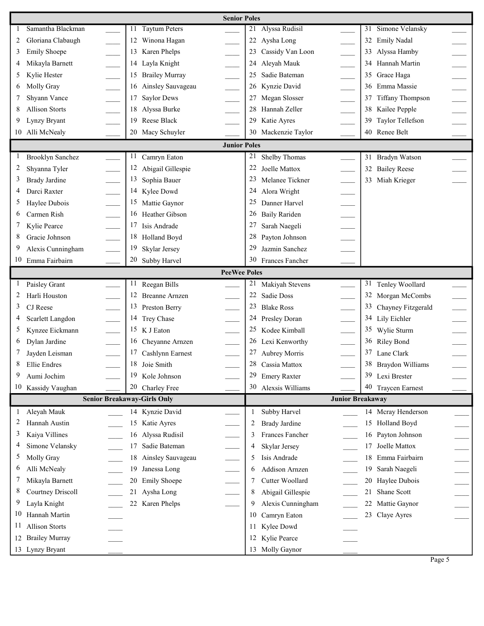|              | <b>Senior Poles</b>                      |                                    |                          |                                                 |                         |  |  |  |  |  |
|--------------|------------------------------------------|------------------------------------|--------------------------|-------------------------------------------------|-------------------------|--|--|--|--|--|
|              | Samantha Blackman                        | <b>Taytum Peters</b><br>11         |                          | Alyssa Rudisil<br>21                            | Simone Velansky<br>31   |  |  |  |  |  |
| 2            | Gloriana Clabaugh                        | 12 Winona Hagan                    |                          | 22<br>Aysha Long                                | 32 Emily Nadal          |  |  |  |  |  |
| 3            | <b>Emily Shoepe</b>                      | 13 Karen Phelps                    |                          | Cassidy Van Loon<br>23                          | 33 Alyssa Hamby         |  |  |  |  |  |
|              | Mikayla Barnett                          | 14 Layla Knight                    | $\overline{\phantom{a}}$ | Aleyah Mauk<br>24                               | 34 Hannah Martin        |  |  |  |  |  |
| 5            | Kylie Hester                             | 15 Brailey Murray                  |                          | $\overline{\phantom{a}}$<br>Sadie Bateman<br>25 | 35 Grace Haga           |  |  |  |  |  |
| 6            | Molly Gray                               | 16 Ainsley Sauvageau               |                          | Kynzie David<br>26                              | 36 Emma Massie          |  |  |  |  |  |
| 7            | Shyann Vance                             | <b>Saylor Dews</b><br>17           |                          | Megan Slosser                                   | Tiffany Thompson<br>37  |  |  |  |  |  |
| 8            | <b>Allison Storts</b>                    | 18 Alyssa Burke                    |                          | Hannah Zeller                                   | 38 Kailee Pepple        |  |  |  |  |  |
| 9            | Lynzy Bryant                             | 19 Reese Black                     |                          | Katie Ayres<br>29                               | Taylor Tellefson<br>39  |  |  |  |  |  |
|              | 10 Alli McNealy                          | 20 Macy Schuyler                   |                          | Mackenzie Taylor<br>30                          | 40 Renee Belt           |  |  |  |  |  |
|              |                                          |                                    | <b>Junior Poles</b>      |                                                 |                         |  |  |  |  |  |
| $\perp$      | <b>Brooklyn Sanchez</b>                  | Camryn Eaton<br>11                 |                          | 21<br>Shelby Thomas                             | 31 Bradyn Watson        |  |  |  |  |  |
| 2            | Shyanna Tyler                            | 12 Abigail Gillespie               |                          | 22<br>Joelle Mattox                             | 32 Bailey Reese         |  |  |  |  |  |
| 3            | <b>Brady Jardine</b>                     | 13 Sophia Bauer                    |                          | 23<br>Melanee Tickner                           | 33 Miah Krieger         |  |  |  |  |  |
| 4            | Darci Raxter                             | 14 Kylee Dowd                      |                          | 24<br>Alora Wright                              |                         |  |  |  |  |  |
| 5            | Haylee Dubois                            | 15 Mattie Gaynor                   |                          | 25<br>Danner Harvel                             |                         |  |  |  |  |  |
| 6            | $\overline{\phantom{a}}$<br>Carmen Rish  | 16 Heather Gibson                  |                          | 26<br><b>Baily Rariden</b>                      |                         |  |  |  |  |  |
| 7            | $\overline{\phantom{a}}$<br>Kylie Pearce | 17 Isis Andrade                    |                          | 27<br>Sarah Naegeli                             |                         |  |  |  |  |  |
| 8            | Gracie Johnson                           | 18 Holland Boyd                    |                          | 28<br>Payton Johnson                            |                         |  |  |  |  |  |
| 9            | Alexis Cunningham                        | 19<br>Skylar Jersey                |                          | 29<br>Jazmin Sanchez                            |                         |  |  |  |  |  |
| 10           | Emma Fairbairn                           | 20 Subby Harvel                    |                          | 30<br>Frances Fancher                           |                         |  |  |  |  |  |
|              |                                          |                                    | <b>PeeWee Poles</b>      |                                                 |                         |  |  |  |  |  |
| 1            | Paisley Grant                            | 11 Reegan Bills                    |                          | 21<br>Makiyah Stevens                           | 31 Tenley Woollard      |  |  |  |  |  |
| 2            | Harli Houston                            | 12 Breanne Arnzen                  |                          | 22<br>Sadie Doss                                | 32 Morgan McCombs       |  |  |  |  |  |
| 3            | CJ Reese                                 | 13 Preston Berry                   |                          | 23<br><b>Blake Ross</b>                         | 33 Chayney Fitzgerald   |  |  |  |  |  |
| 4            | Scarlett Langdon                         | 14 Trey Chase                      | e.                       | 24<br>Presley Doran                             | 34 Lily Eichler         |  |  |  |  |  |
| 5            | $\overline{a}$<br>Kynzee Eickmann        | 15 K J Eaton                       |                          | 25<br>Kodee Kimball                             | 35 Wylie Sturm          |  |  |  |  |  |
| 6            | Dylan Jardine                            | 16 Cheyanne Arnzen                 |                          | 26<br>Lexi Kenworthy                            | 36 Riley Bond           |  |  |  |  |  |
|              | Jayden Leisman                           | 17 Cashlynn Earnest                |                          | Aubrey Morris                                   | 37 Lane Clark           |  |  |  |  |  |
| 8            | Ellie Endres                             | 18 Joie Smith                      |                          | 28<br>Cassia Mattox                             | 38 Braydon Williams     |  |  |  |  |  |
| 9            | Aumi Jochim                              | 19<br>Kole Johnson                 |                          | 29<br><b>Emery Raxter</b>                       | 39 Lexi Brester         |  |  |  |  |  |
|              | 10 Kassidy Vaughan                       | 20 Charley Free                    |                          | 30<br>Alexsis Williams                          | 40 Traycen Earnest      |  |  |  |  |  |
|              |                                          | <b>Senior Breakaway-Girls Only</b> |                          |                                                 | <b>Junior Breakaway</b> |  |  |  |  |  |
| $\mathbf{1}$ | Aleyah Mauk                              | 14 Kynzie David                    |                          | Subby Harvel<br>1                               | 14 Mcray Henderson      |  |  |  |  |  |
| 2            | Hannah Austin                            | 15 Katie Ayres                     |                          | <b>Brady Jardine</b><br>2                       | 15<br>Holland Boyd      |  |  |  |  |  |
| 3            | Kaiya Villines                           | Alyssa Rudisil<br>16               |                          | Frances Fancher<br>3                            | Payton Johnson<br>16    |  |  |  |  |  |
| 4            | Simone Velansky                          | 17<br>Sadie Bateman                |                          | Skylar Jersey<br>4                              | 17<br>Joelle Mattox     |  |  |  |  |  |
| 5            | Molly Gray                               | Ainsley Sauvageau<br>18            |                          | Isis Andrade<br>5                               | 18 Emma Fairbairn       |  |  |  |  |  |
| 6            | Alli McNealy                             | Janessa Long<br>19                 |                          | Addison Arnzen<br>6                             | Sarah Naegeli<br>19     |  |  |  |  |  |
| 7            | Mikayla Barnett                          | <b>Emily Shoepe</b><br>20          |                          | Cutter Woollard                                 | 20<br>Haylee Dubois     |  |  |  |  |  |
| 8            | <b>Courtney Driscoll</b>                 | Aysha Long<br>21                   |                          | Abigail Gillespie<br>8                          | 21<br>Shane Scott       |  |  |  |  |  |
| 9            | Layla Knight                             | 22 Karen Phelps                    |                          | 9<br>Alexis Cunningham                          | 22<br>Mattie Gaynor     |  |  |  |  |  |
| 10           | Hannah Martin                            |                                    |                          | Camryn Eaton<br>10                              | 23 Claye Ayres          |  |  |  |  |  |
| 11           | <b>Allison Storts</b>                    |                                    |                          | Kylee Dowd<br>11                                |                         |  |  |  |  |  |
|              | 12 Brailey Murray                        |                                    |                          | Kylie Pearce<br>12                              |                         |  |  |  |  |  |
|              | 13 Lynzy Bryant                          |                                    |                          | 13 Molly Gaynor                                 |                         |  |  |  |  |  |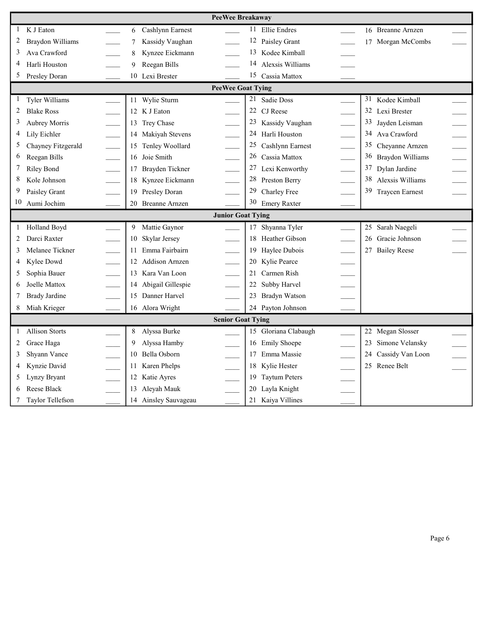|              | <b>PeeWee Breakaway</b>  |  |                       |                          |                            |                          |                              |  |  |
|--------------|--------------------------|--|-----------------------|--------------------------|----------------------------|--------------------------|------------------------------|--|--|
| 1            | K J Eaton                |  | Cashlynn Earnest<br>6 |                          | Ellie Endres<br>11         |                          | 16 Breanne Arnzen            |  |  |
| 2            | Braydon Williams         |  | Kassidy Vaughan       |                          | 12<br>Paisley Grant        |                          | 17 Morgan McCombs            |  |  |
| 3            | Ava Crawford             |  | Kynzee Eickmann<br>8  |                          | 13<br>Kodee Kimball        |                          |                              |  |  |
| 4            | Harli Houston            |  | Reegan Bills<br>9     |                          | 14<br>Alexsis Williams     |                          |                              |  |  |
| 5            | Presley Doran            |  | 10 Lexi Brester       |                          | 15<br>Cassia Mattox        |                          |                              |  |  |
|              |                          |  |                       | <b>PeeWee Goat Tying</b> |                            |                          |                              |  |  |
| $\mathbf{I}$ | Tyler Williams           |  | 11 Wylie Sturm        |                          | 21<br>Sadie Doss           |                          | 31 Kodee Kimball             |  |  |
| 2            | <b>Blake Ross</b>        |  | 12 K J Eaton          |                          | 22<br>CJ Reese             |                          | 32 Lexi Brester              |  |  |
| 3            | <b>Aubrey Morris</b>     |  | 13 Trey Chase         |                          | 23<br>Kassidy Vaughan      |                          | 33<br>Jayden Leisman         |  |  |
| 4            | Lily Eichler             |  | 14 Makiyah Stevens    |                          | 24<br>Harli Houston        |                          | 34 Ava Crawford              |  |  |
| 5            | Chayney Fitzgerald       |  | 15 Tenley Woollard    | $\overline{\phantom{a}}$ | 25<br>Cashlynn Earnest     | $\overline{\phantom{a}}$ | 35<br>Cheyanne Arnzen        |  |  |
| 6            | Reegan Bills             |  | 16 Joie Smith         |                          | 26<br>Cassia Mattox        |                          | 36 Braydon Williams          |  |  |
| 7            | Riley Bond               |  | 17 Brayden Tickner    |                          | 27<br>Lexi Kenworthy       |                          | 37<br>Dylan Jardine          |  |  |
| 8            | Kole Johnson             |  | 18 Kynzee Eickmann    |                          | 28<br>Preston Berry        |                          | 38<br>Alexsis Williams       |  |  |
| 9            | Paisley Grant            |  | 19 Presley Doran      |                          | 29<br>Charley Free         |                          | 39<br><b>Traycen Earnest</b> |  |  |
| 10           | Aumi Jochim              |  | 20 Breanne Arnzen     |                          | 30<br><b>Emery Raxter</b>  |                          |                              |  |  |
|              | <b>Junior Goat Tying</b> |  |                       |                          |                            |                          |                              |  |  |
|              |                          |  |                       |                          |                            |                          |                              |  |  |
| $\mathbf{1}$ | Holland Boyd             |  | 9 Mattie Gaynor       |                          | Shyanna Tyler<br>17        |                          | Sarah Naegeli<br>25          |  |  |
| 2            | Darci Raxter             |  | Skylar Jersey<br>10   |                          | Heather Gibson<br>18       |                          | 26<br>Gracie Johnson         |  |  |
| 3            | Melanee Tickner          |  | Emma Fairbairn<br>11  |                          | Haylee Dubois<br>19        |                          | 27 Bailey Reese              |  |  |
| 4            | Kylee Dowd               |  | 12 Addison Arnzen     |                          | Kylie Pearce<br>20         |                          |                              |  |  |
| 5            | Sophia Bauer             |  | 13 Kara Van Loon      |                          | Carmen Rish<br>21          |                          |                              |  |  |
| 6            | Joelle Mattox            |  | 14 Abigail Gillespie  |                          | Subby Harvel<br>22         |                          |                              |  |  |
| 7            | <b>Brady Jardine</b>     |  | 15 Danner Harvel      |                          | <b>Bradyn Watson</b><br>23 |                          |                              |  |  |
| 8            | Miah Krieger             |  | 16 Alora Wright       |                          | 24<br>Payton Johnson       |                          |                              |  |  |
|              |                          |  |                       | <b>Senior Goat Tying</b> |                            |                          |                              |  |  |
| $\mathbf{1}$ | <b>Allison Storts</b>    |  | Alyssa Burke<br>8     |                          | Gloriana Clabaugh<br>15    |                          | 22 Megan Slosser             |  |  |
| 2            | Grace Haga               |  | Alyssa Hamby          |                          | <b>Emily Shoepe</b><br>16  |                          | Simone Velansky<br>23        |  |  |
| 3            | Shyann Vance             |  | 10 Bella Osborn       |                          | Emma Massie<br>17          |                          | 24 Cassidy Van Loon          |  |  |
| 4            | Kynzie David             |  | 11 Karen Phelps       |                          | Kylie Hester<br>18         |                          | 25 Renee Belt                |  |  |
| 5            | Lynzy Bryant             |  | 12 Katie Ayres        |                          | <b>Taytum Peters</b><br>19 |                          |                              |  |  |
| 6            | Reese Black              |  | 13 Aleyah Mauk        |                          | Layla Knight<br>20         |                          |                              |  |  |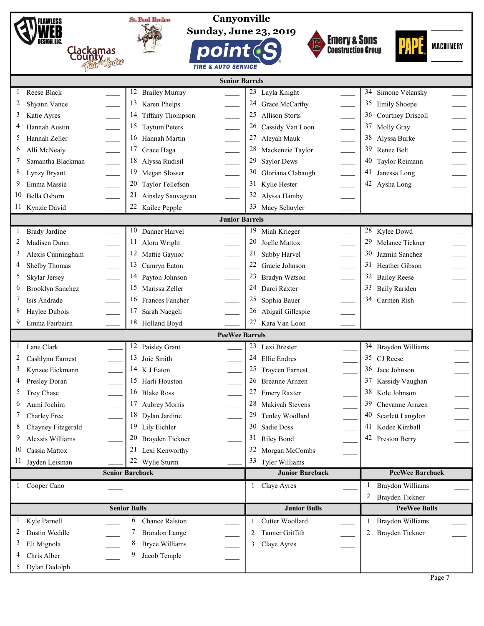|    | <b>FLAWLESS</b>         |                          | <b>St. Paul Rodeo</b>         | Canyonville                    |                |                        |                           |                |                        |                  |
|----|-------------------------|--------------------------|-------------------------------|--------------------------------|----------------|------------------------|---------------------------|----------------|------------------------|------------------|
|    |                         |                          |                               | <b>Sunday, June 23, 2019</b>   |                |                        |                           |                |                        |                  |
|    | DESIGN. LLC.            |                          |                               |                                |                |                        | <b>Emery &amp; Sons</b>   |                |                        | <b>MACHINERY</b> |
|    |                         | Clackamas<br>County      |                               | point(                         |                |                        | <b>Construction Group</b> |                |                        |                  |
|    |                         |                          |                               | <b>TIRE &amp; AUTO SERVICE</b> |                |                        |                           |                |                        |                  |
|    |                         |                          |                               | <b>Senior Barrels</b>          |                |                        |                           |                |                        |                  |
|    | Reese Black             |                          | 12<br><b>Brailey Murray</b>   |                                | 23             | Layla Knight           |                           | 34             | Simone Velansky        |                  |
|    | Shyann Vance            |                          | 13<br>Karen Phelps            |                                |                | Grace McCarthy         |                           | 35             | <b>Emily Shoepe</b>    |                  |
| 3  | Katie Ayres             |                          | 14<br><b>Tiffany Thompson</b> | $\overline{\phantom{a}}$       | 25             | <b>Allison Storts</b>  |                           | 36             | Courtney Driscoll      |                  |
| 4  | Hannah Austin           |                          | 15<br><b>Taytum Peters</b>    |                                | 26             | Cassidy Van Loon       |                           | 37             | Molly Gray             |                  |
| 5  | Hannah Zeller           |                          | 16<br>Hannah Martin           |                                | 27             | Aleyah Mauk            |                           | 38             | Alyssa Burke           |                  |
| 6  | Alli McNealy            | $\overline{\phantom{a}}$ | 17<br>Grace Haga              | $\mathcal{L}$                  | 28             | Mackenzie Taylor       |                           | 39             | Renee Belt             |                  |
|    | Samantha Blackman       | $\overline{\phantom{a}}$ | 18<br>Alyssa Rudisil          | $\overline{\phantom{a}}$       | 29             | <b>Saylor Dews</b>     |                           | 40             | Taylor Reimann         |                  |
| 8  | Lynzy Bryant            |                          | 19<br>Megan Slosser           | $\overline{\phantom{a}}$       | 30             | Gloriana Clabaugh      |                           | 41             | Janessa Long           |                  |
| 9  | Emma Massie             |                          | 20<br>Taylor Tellefson        |                                | 31             | Kylie Hester           |                           |                | 42 Aysha Long          |                  |
| 10 | Bella Osborn            |                          | 21<br>Ainsley Sauvageau       |                                | 32             | Alyssa Hamby           |                           |                |                        |                  |
| 11 | Kynzie David            |                          | 22 Kailee Pepple              |                                | 33             | Macy Schuyler          |                           |                |                        |                  |
|    |                         |                          |                               | <b>Junior Barrels</b>          |                |                        |                           |                |                        |                  |
|    | <b>Brady Jardine</b>    |                          | 10<br>Danner Harvel           |                                | 19             | Miah Krieger           |                           |                | 28 Kylee Dowd          |                  |
| 2  | Madisen Dunn            |                          | 11<br>Alora Wright            |                                | 20             | Joelle Mattox          |                           | 29             | Melanee Tickner        |                  |
| 3  | Alexis Cunningham       |                          | 12<br>Mattie Gaynor           |                                | 21             | Subby Harvel           |                           | 30             | Jazmin Sanchez         |                  |
| 4  | Shelby Thomas           |                          | 13<br>Camryn Eaton            | $\overline{\phantom{a}}$       |                | Gracie Johnson         |                           | 31             | Heather Gibson         |                  |
| 5  | Skylar Jersey           |                          | 14<br>Payton Johnson          | $\overline{\phantom{0}}$       | 23             | Bradyn Watson          |                           | 32             | <b>Bailey Reese</b>    |                  |
| 6  | <b>Brooklyn Sanchez</b> |                          | 15 Marissa Zeller             |                                | 24             | Darci Raxter           |                           | 33             | <b>Baily Rariden</b>   |                  |
|    | Isis Andrade            |                          | 16 Frances Fancher            |                                | 25             | Sophia Bauer           |                           |                | 34 Carmen Rish         |                  |
| 8  | Haylee Dubois           |                          | 17<br>Sarah Naegeli           |                                | 26             | Abigail Gillespie      |                           |                |                        |                  |
|    | Emma Fairbairn          |                          | 18<br>Holland Boyd            |                                | 27             | Kara Van Loon          |                           |                |                        |                  |
|    |                         |                          |                               | <b>PeeWee Barrels</b>          |                |                        |                           |                |                        |                  |
|    | Lane Clark              |                          | 12<br>Paisley Grant           |                                | 23             | Lexi Brester           |                           |                | 34 Braydon Williams    |                  |
| 2  | Cashlynn Earnest        |                          | 13 Joie Smith                 |                                | 24             | Ellie Endres           |                           |                | 35 CJ Reese            |                  |
| 3  | Kynzee Eickmann         |                          | 14 K J Eaton                  |                                | 25             | <b>Traycen Earnest</b> |                           | 36             | Jace Johnson           |                  |
|    | Presley Doran           |                          | 15 Harli Houston              |                                | 26             | <b>Breanne Arnzen</b>  |                           | 37             | Kassidy Vaughan        |                  |
| 5  | Trey Chase              |                          | 16<br><b>Blake Ross</b>       |                                | 27             | <b>Emery Raxter</b>    |                           | 38             | Kole Johnson           |                  |
| 6  | Aumi Jochim             |                          | 17<br>Aubrey Morris           |                                | 28             | Makiyah Stevens        |                           | 39             | Cheyanne Arnzen        |                  |
|    | Charley Free            |                          | 18 Dylan Jardine              |                                | 29             | Tenley Woollard        |                           | 40             | Scarlett Langdon       |                  |
| 8  | Chayney Fitzgerald      |                          | 19<br>Lily Eichler            |                                | 30             | Sadie Doss             |                           | 41             | Kodee Kimball          |                  |
| 9  | Alexsis Williams        |                          | 20<br>Brayden Tickner         |                                | 31             | Riley Bond             |                           |                | 42 Preston Berry       |                  |
| 10 | Cassia Mattox           |                          | 21 Lexi Kenworthy             |                                | 32             | Morgan McCombs         |                           |                |                        |                  |
|    | 11 Jayden Leisman       |                          | 22 Wylie Sturm                |                                |                | 33 Tyler Williams      |                           |                |                        |                  |
|    |                         |                          | <b>Senior Bareback</b>        |                                |                | <b>Junior Bareback</b> |                           |                | <b>PeeWee Bareback</b> |                  |
|    | 1 Cooper Cano           |                          |                               |                                |                | 1 Claye Ayres          |                           | $\mathbf{I}$   | Braydon Williams       |                  |
|    |                         |                          |                               |                                |                |                        |                           | $\overline{c}$ | Brayden Tickner        |                  |
|    |                         |                          | <b>Senior Bulls</b>           |                                |                | <b>Junior Bulls</b>    |                           |                | <b>PeeWee Bulls</b>    |                  |
|    | Kyle Parnell            |                          | Chance Ralston<br>6           |                                | 1              | Cutter Woollard        |                           |                | Braydon Williams       |                  |
| 2  | Dustin Weddle           |                          | 7<br><b>Brandon Lange</b>     |                                | $\overline{c}$ | Tanner Griffith        |                           | $\overline{2}$ | Brayden Tickner        |                  |
| 3  | Eli Mignola             |                          | 8<br><b>Bryce Williams</b>    |                                | 3              | Claye Ayres            |                           |                |                        |                  |
| 4  | Chris Alber             |                          | 9<br>Jacob Temple             |                                |                |                        |                           |                |                        |                  |
| 5  | Dylan Dedolph           |                          |                               |                                |                |                        |                           |                |                        |                  |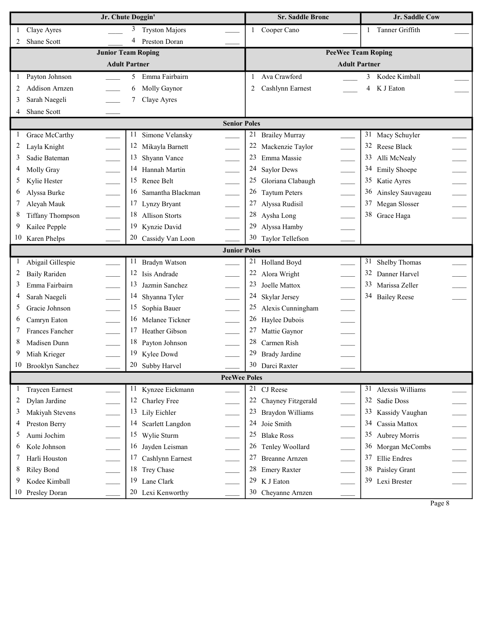|                                               | Jr. Chute Doggin'                                | <b>Sr. Saddle Bronc</b>     | Jr. Saddle Cow         |  |  |  |  |
|-----------------------------------------------|--------------------------------------------------|-----------------------------|------------------------|--|--|--|--|
| Claye Ayres<br>$\mathbf{1}$                   | <b>Tryston Majors</b><br>3                       | Cooper Cano<br>1            | Tanner Griffith<br>1   |  |  |  |  |
| Shane Scott<br>2                              | $\overline{4}$<br>Preston Doran                  |                             |                        |  |  |  |  |
|                                               | <b>Junior Team Roping</b>                        | <b>PeeWee Team Roping</b>   |                        |  |  |  |  |
|                                               | <b>Adult Partner</b>                             | <b>Adult Partner</b>        |                        |  |  |  |  |
| Payton Johnson<br>1                           | Emma Fairbairn<br>5                              | Ava Crawford<br>1           | 3 Kodee Kimball        |  |  |  |  |
| <b>Addison Arnzen</b><br>2                    | 6<br>Molly Gaynor                                | Cashlynn Earnest<br>2       | K J Eaton<br>4         |  |  |  |  |
| Sarah Naegeli<br>3                            | 7<br>Claye Ayres                                 |                             |                        |  |  |  |  |
| Shane Scott<br>4                              |                                                  |                             |                        |  |  |  |  |
|                                               | <b>Senior Poles</b>                              |                             |                        |  |  |  |  |
| 1<br>Grace McCarthy                           | Simone Velansky<br>11                            | 21<br><b>Brailey Murray</b> | 31<br>Macy Schuyler    |  |  |  |  |
| 2<br>Layla Knight                             | 12<br>Mikayla Barnett                            | 22<br>Mackenzie Taylor      | 32<br>Reese Black      |  |  |  |  |
| 3<br>Sadie Bateman                            | 13<br>Shyann Vance                               | 23<br>Emma Massie           | 33<br>Alli McNealy     |  |  |  |  |
| Molly Gray<br>4                               | 14 Hannah Martin<br>$\overline{\phantom{a}}$     | 24<br><b>Saylor Dews</b>    | 34 Emily Shoepe        |  |  |  |  |
| 5<br>Kylie Hester                             | 15 Renee Belt                                    | 25<br>Gloriana Clabaugh     | 35 Katie Ayres         |  |  |  |  |
| Alyssa Burke<br>6                             | $\overline{\phantom{a}}$<br>16 Samantha Blackman | 26<br><b>Taytum Peters</b>  | 36 Ainsley Sauvageau   |  |  |  |  |
| 7<br>Aleyah Mauk                              | $\overline{a}$<br>17<br>Lynzy Bryant             | 27<br>Alyssa Rudisil        | 37<br>Megan Slosser    |  |  |  |  |
| <b>Tiffany Thompson</b><br>8                  | 18 Allison Storts                                | 28<br>Aysha Long            | 38 Grace Haga          |  |  |  |  |
| 9<br>Kailee Pepple                            | 19<br>Kynzie David                               | 29<br>Alyssa Hamby          |                        |  |  |  |  |
| 10<br>Karen Phelps                            | 20 Cassidy Van Loon                              | 30<br>Taylor Tellefson      |                        |  |  |  |  |
|                                               | <b>Junior Poles</b>                              |                             |                        |  |  |  |  |
| Abigail Gillespie<br>1                        | 11<br>Bradyn Watson                              | 21<br>Holland Boyd          | 31<br>Shelby Thomas    |  |  |  |  |
| 2<br><b>Baily Rariden</b>                     | 12 Isis Andrade                                  | Alora Wright                | 32<br>Danner Harvel    |  |  |  |  |
| 3<br>Emma Fairbairn                           | 13<br>Jazmin Sanchez<br>e.                       | 23<br>Joelle Mattox         | 33<br>Marissa Zeller   |  |  |  |  |
| 4<br>Sarah Naegeli                            | 14 Shyanna Tyler<br>$\overline{\phantom{a}}$     | 24<br>Skylar Jersey         | 34 Bailey Reese        |  |  |  |  |
| 5<br>Gracie Johnson                           | $\overline{\phantom{a}}$<br>15<br>Sophia Bauer   | 25<br>Alexis Cunningham     |                        |  |  |  |  |
| $\overline{\phantom{a}}$<br>Camryn Eaton<br>6 | 16<br>Melanee Tickner<br>$\mathbb{R}$            | 26<br>Haylee Dubois         |                        |  |  |  |  |
| 7<br>Frances Fancher                          | 17<br>Heather Gibson                             | 27<br>Mattie Gaynor         |                        |  |  |  |  |
| 8<br>Madisen Dunn                             | 18 Payton Johnson                                | 28<br>Carmen Rish           |                        |  |  |  |  |
| 9<br>Miah Krieger                             | 19 Kylee Dowd                                    | 29<br><b>Brady Jardine</b>  |                        |  |  |  |  |
| 10<br>Brooklyn Sanchez                        | 20 Subby Harvel                                  | 30 Darci Raxter             |                        |  |  |  |  |
|                                               | <b>PeeWee Poles</b>                              |                             |                        |  |  |  |  |
| $\mathbf{1}$<br><b>Traycen Earnest</b>        | 11 Kynzee Eickmann                               | 21<br>CJ Reese              | 31<br>Alexsis Williams |  |  |  |  |
| 2<br>Dylan Jardine                            | 12 Charley Free                                  | 22<br>Chayney Fitzgerald    | 32<br>Sadie Doss       |  |  |  |  |
| 3<br>Makiyah Stevens                          | 13 Lily Eichler                                  | 23<br>Braydon Williams      | 33<br>Kassidy Vaughan  |  |  |  |  |
| Preston Berry<br>4                            | 14<br>Scarlett Langdon                           | 24<br>Joie Smith            | 34<br>Cassia Mattox    |  |  |  |  |
| 5<br>Aumi Jochim                              | 15 Wylie Sturm                                   | 25<br><b>Blake Ross</b>     | 35<br>Aubrey Morris    |  |  |  |  |
| Kole Johnson<br>6                             | 16 Jayden Leisman                                | 26<br>Tenley Woollard       | 36 Morgan McCombs      |  |  |  |  |
| 7<br>Harli Houston                            | 17 Cashlynn Earnest                              | 27<br><b>Breanne Arnzen</b> | 37<br>Ellie Endres     |  |  |  |  |
| 8<br>Riley Bond                               | 18 Trey Chase                                    | 28<br><b>Emery Raxter</b>   | 38<br>Paisley Grant    |  |  |  |  |
| 9<br>Kodee Kimball                            | 19<br>Lane Clark                                 | 29<br>K J Eaton             | 39 Lexi Brester        |  |  |  |  |
| 10<br>Presley Doran                           | 20 Lexi Kenworthy                                | 30<br>Cheyanne Arnzen       |                        |  |  |  |  |

Page 8